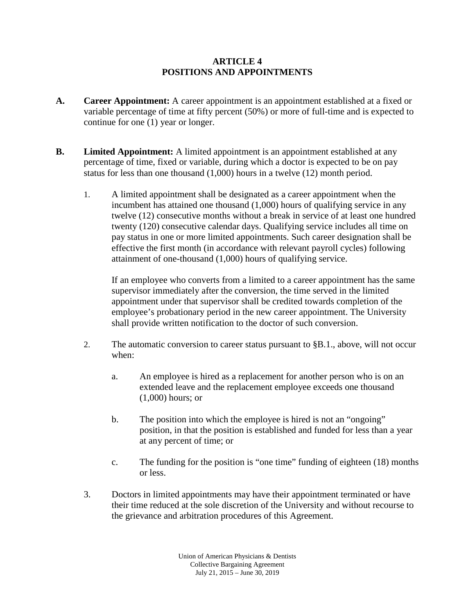## **ARTICLE 4 POSITIONS AND APPOINTMENTS**

- **A. Career Appointment:** A career appointment is an appointment established at a fixed or variable percentage of time at fifty percent (50%) or more of full-time and is expected to continue for one (1) year or longer.
- **B. Limited Appointment:** A limited appointment is an appointment established at any percentage of time, fixed or variable, during which a doctor is expected to be on pay status for less than one thousand (1,000) hours in a twelve (12) month period.
	- 1. A limited appointment shall be designated as a career appointment when the incumbent has attained one thousand (1,000) hours of qualifying service in any twelve (12) consecutive months without a break in service of at least one hundred twenty (120) consecutive calendar days. Qualifying service includes all time on pay status in one or more limited appointments. Such career designation shall be effective the first month (in accordance with relevant payroll cycles) following attainment of one-thousand (1,000) hours of qualifying service.

If an employee who converts from a limited to a career appointment has the same supervisor immediately after the conversion, the time served in the limited appointment under that supervisor shall be credited towards completion of the employee's probationary period in the new career appointment. The University shall provide written notification to the doctor of such conversion.

- 2. The automatic conversion to career status pursuant to §B.1., above, will not occur when:
	- a. An employee is hired as a replacement for another person who is on an extended leave and the replacement employee exceeds one thousand (1,000) hours; or
	- b. The position into which the employee is hired is not an "ongoing" position, in that the position is established and funded for less than a year at any percent of time; or
	- c. The funding for the position is "one time" funding of eighteen (18) months or less.
- 3. Doctors in limited appointments may have their appointment terminated or have their time reduced at the sole discretion of the University and without recourse to the grievance and arbitration procedures of this Agreement.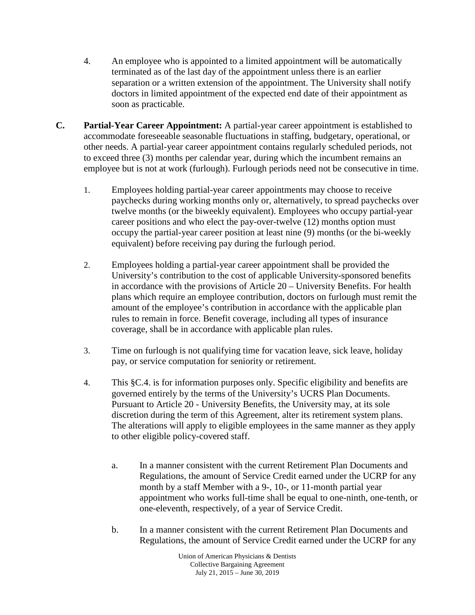- 4. An employee who is appointed to a limited appointment will be automatically terminated as of the last day of the appointment unless there is an earlier separation or a written extension of the appointment. The University shall notify doctors in limited appointment of the expected end date of their appointment as soon as practicable.
- **C. Partial-Year Career Appointment:** A partial-year career appointment is established to accommodate foreseeable seasonable fluctuations in staffing, budgetary, operational, or other needs. A partial-year career appointment contains regularly scheduled periods, not to exceed three (3) months per calendar year, during which the incumbent remains an employee but is not at work (furlough). Furlough periods need not be consecutive in time.
	- 1. Employees holding partial-year career appointments may choose to receive paychecks during working months only or, alternatively, to spread paychecks over twelve months (or the biweekly equivalent). Employees who occupy partial-year career positions and who elect the pay-over-twelve (12) months option must occupy the partial-year career position at least nine (9) months (or the bi-weekly equivalent) before receiving pay during the furlough period.
	- 2. Employees holding a partial-year career appointment shall be provided the University's contribution to the cost of applicable University-sponsored benefits in accordance with the provisions of Article 20 – University Benefits. For health plans which require an employee contribution, doctors on furlough must remit the amount of the employee's contribution in accordance with the applicable plan rules to remain in force. Benefit coverage, including all types of insurance coverage, shall be in accordance with applicable plan rules.
	- 3. Time on furlough is not qualifying time for vacation leave, sick leave, holiday pay, or service computation for seniority or retirement.
	- 4. This §C.4. is for information purposes only. Specific eligibility and benefits are governed entirely by the terms of the University's UCRS Plan Documents. Pursuant to Article 20 - University Benefits, the University may, at its sole discretion during the term of this Agreement, alter its retirement system plans. The alterations will apply to eligible employees in the same manner as they apply to other eligible policy-covered staff.
		- a. In a manner consistent with the current Retirement Plan Documents and Regulations, the amount of Service Credit earned under the UCRP for any month by a staff Member with a 9-, 10-, or 11-month partial year appointment who works full-time shall be equal to one-ninth, one-tenth, or one-eleventh, respectively, of a year of Service Credit.
		- b. In a manner consistent with the current Retirement Plan Documents and Regulations, the amount of Service Credit earned under the UCRP for any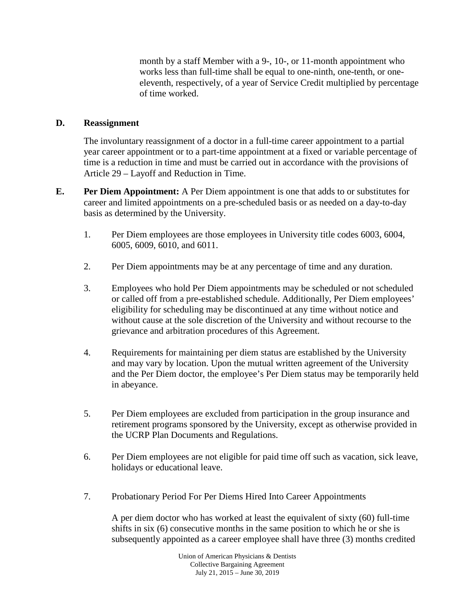month by a staff Member with a 9-, 10-, or 11-month appointment who works less than full-time shall be equal to one-ninth, one-tenth, or oneeleventh, respectively, of a year of Service Credit multiplied by percentage of time worked.

## **D. Reassignment**

The involuntary reassignment of a doctor in a full-time career appointment to a partial year career appointment or to a part-time appointment at a fixed or variable percentage of time is a reduction in time and must be carried out in accordance with the provisions of Article 29 – Layoff and Reduction in Time.

- **E. Per Diem Appointment:** A Per Diem appointment is one that adds to or substitutes for career and limited appointments on a pre-scheduled basis or as needed on a day-to-day basis as determined by the University.
	- 1. Per Diem employees are those employees in University title codes 6003, 6004, 6005, 6009, 6010, and 6011.
	- 2. Per Diem appointments may be at any percentage of time and any duration.
	- 3. Employees who hold Per Diem appointments may be scheduled or not scheduled or called off from a pre-established schedule. Additionally, Per Diem employees' eligibility for scheduling may be discontinued at any time without notice and without cause at the sole discretion of the University and without recourse to the grievance and arbitration procedures of this Agreement.
	- 4. Requirements for maintaining per diem status are established by the University and may vary by location. Upon the mutual written agreement of the University and the Per Diem doctor, the employee's Per Diem status may be temporarily held in abeyance.
	- 5. Per Diem employees are excluded from participation in the group insurance and retirement programs sponsored by the University, except as otherwise provided in the UCRP Plan Documents and Regulations.
	- 6. Per Diem employees are not eligible for paid time off such as vacation, sick leave, holidays or educational leave.
	- 7. Probationary Period For Per Diems Hired Into Career Appointments

A per diem doctor who has worked at least the equivalent of sixty (60) full-time shifts in six (6) consecutive months in the same position to which he or she is subsequently appointed as a career employee shall have three (3) months credited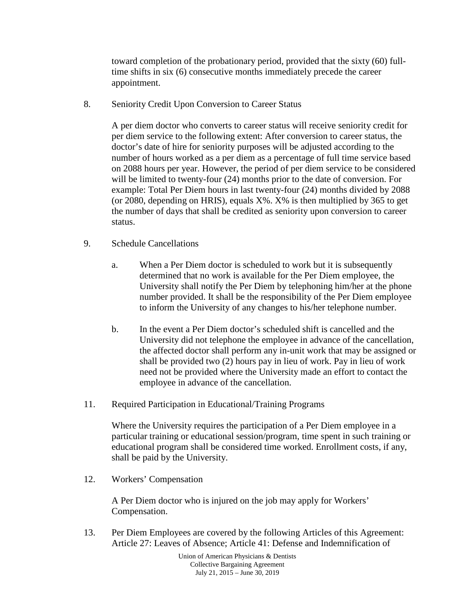toward completion of the probationary period, provided that the sixty (60) fulltime shifts in six (6) consecutive months immediately precede the career appointment.

8. Seniority Credit Upon Conversion to Career Status

A per diem doctor who converts to career status will receive seniority credit for per diem service to the following extent: After conversion to career status, the doctor's date of hire for seniority purposes will be adjusted according to the number of hours worked as a per diem as a percentage of full time service based on 2088 hours per year. However, the period of per diem service to be considered will be limited to twenty-four (24) months prior to the date of conversion. For example: Total Per Diem hours in last twenty-four (24) months divided by 2088 (or 2080, depending on HRIS), equals  $X\%$ .  $X\%$  is then multiplied by 365 to get the number of days that shall be credited as seniority upon conversion to career status.

- 9. Schedule Cancellations
	- a. When a Per Diem doctor is scheduled to work but it is subsequently determined that no work is available for the Per Diem employee, the University shall notify the Per Diem by telephoning him/her at the phone number provided. It shall be the responsibility of the Per Diem employee to inform the University of any changes to his/her telephone number.
	- b. In the event a Per Diem doctor's scheduled shift is cancelled and the University did not telephone the employee in advance of the cancellation, the affected doctor shall perform any in-unit work that may be assigned or shall be provided two (2) hours pay in lieu of work. Pay in lieu of work need not be provided where the University made an effort to contact the employee in advance of the cancellation.
- 11. Required Participation in Educational/Training Programs

Where the University requires the participation of a Per Diem employee in a particular training or educational session/program, time spent in such training or educational program shall be considered time worked. Enrollment costs, if any, shall be paid by the University.

12. Workers' Compensation

A Per Diem doctor who is injured on the job may apply for Workers' Compensation.

13. Per Diem Employees are covered by the following Articles of this Agreement: Article 27: Leaves of Absence; Article 41: Defense and Indemnification of